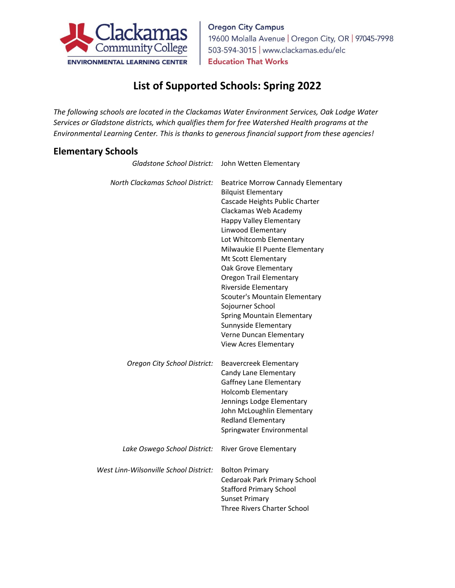

**Oregon City Campus** 19600 Molalla Avenue | Oregon City, OR | 97045-7998 503-594-3015 | www.clackamas.edu/elc **Education That Works** 

## **List of Supported Schools: Spring 2022**

*The following schools are located in the Clackamas Water Environment Services, Oak Lodge Water Services or Gladstone districts, which qualifies them for free Watershed Health programs at the Environmental Learning Center. This is thanks to generous financial support from these agencies!*

## **Elementary Schools**

| <b>Gladstone School District:</b>      | John Wetten Elementary                                                                                                                                                                                                                                                                                                                                                                                                                                                                                                                 |
|----------------------------------------|----------------------------------------------------------------------------------------------------------------------------------------------------------------------------------------------------------------------------------------------------------------------------------------------------------------------------------------------------------------------------------------------------------------------------------------------------------------------------------------------------------------------------------------|
| North Clackamas School District:       | <b>Beatrice Morrow Cannady Elementary</b><br><b>Bilquist Elementary</b><br>Cascade Heights Public Charter<br>Clackamas Web Academy<br><b>Happy Valley Elementary</b><br>Linwood Elementary<br>Lot Whitcomb Elementary<br>Milwaukie El Puente Elementary<br>Mt Scott Elementary<br>Oak Grove Elementary<br><b>Oregon Trail Elementary</b><br>Riverside Elementary<br>Scouter's Mountain Elementary<br>Sojourner School<br>Spring Mountain Elementary<br>Sunnyside Elementary<br>Verne Duncan Elementary<br><b>View Acres Elementary</b> |
| Oregon City School District:           | Beavercreek Elementary<br>Candy Lane Elementary<br>Gaffney Lane Elementary<br><b>Holcomb Elementary</b><br>Jennings Lodge Elementary<br>John McLoughlin Elementary<br><b>Redland Elementary</b><br>Springwater Environmental                                                                                                                                                                                                                                                                                                           |
| Lake Oswego School District:           | <b>River Grove Elementary</b>                                                                                                                                                                                                                                                                                                                                                                                                                                                                                                          |
| West Linn-Wilsonville School District: | <b>Bolton Primary</b><br>Cedaroak Park Primary School<br><b>Stafford Primary School</b><br><b>Sunset Primary</b><br>Three Rivers Charter School                                                                                                                                                                                                                                                                                                                                                                                        |